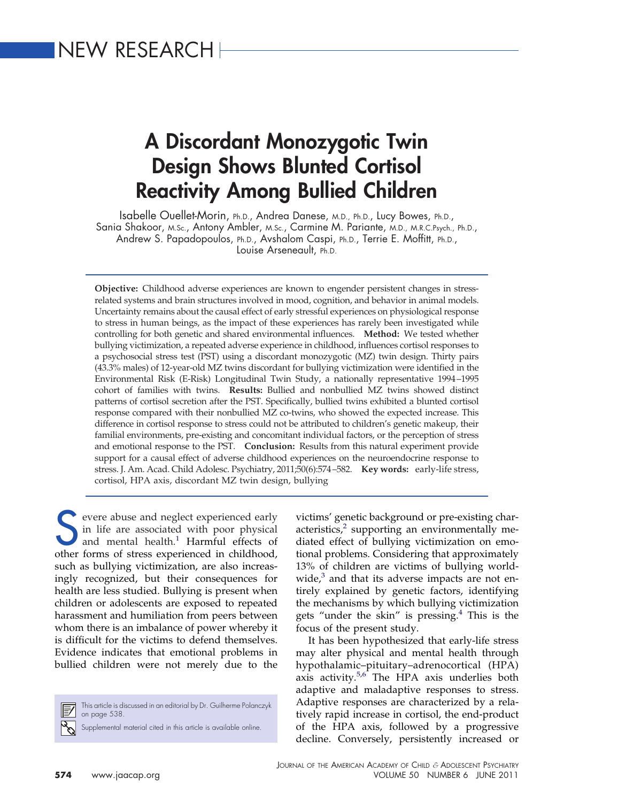# **A Discordant Monozygotic Twin Design Shows Blunted Cortisol Reactivity Among Bullied Children**

Isabelle Ouellet-Morin, Ph.D., Andrea Danese, M.D., Ph.D., Lucy Bowes, Ph.D., Sania Shakoor, M.Sc., Antony Ambler, M.Sc., Carmine M. Pariante, M.D., M.R.C.Psych., Ph.D., Andrew S. Papadopoulos, Ph.D., Avshalom Caspi, Ph.D., Terrie E. Moffitt, Ph.D., Louise Arseneault, Ph.D.

**Objective:** Childhood adverse experiences are known to engender persistent changes in stressrelated systems and brain structures involved in mood, cognition, and behavior in animal models. Uncertainty remains about the causal effect of early stressful experiences on physiological response to stress in human beings, as the impact of these experiences has rarely been investigated while controlling for both genetic and shared environmental influences. **Method:** We tested whether bullying victimization, a repeated adverse experience in childhood, influences cortisol responses to a psychosocial stress test (PST) using a discordant monozygotic (MZ) twin design. Thirty pairs (43.3% males) of 12-year-old MZ twins discordant for bullying victimization were identified in the Environmental Risk (E-Risk) Longitudinal Twin Study, a nationally representative 1994 –1995 cohort of families with twins. **Results:** Bullied and nonbullied MZ twins showed distinct patterns of cortisol secretion after the PST. Specifically, bullied twins exhibited a blunted cortisol response compared with their nonbullied MZ co-twins, who showed the expected increase. This difference in cortisol response to stress could not be attributed to children's genetic makeup, their familial environments, pre-existing and concomitant individual factors, or the perception of stress and emotional response to the PST. **Conclusion:** Results from this natural experiment provide support for a causal effect of adverse childhood experiences on the neuroendocrine response to stress. J. Am. Acad. Child Adolesc. Psychiatry, 2011;50(6):574 –582. **Key words:** early-life stress, cortisol, HPA axis, discordant MZ twin design, bullying

Severe abuse and neglect experienced early<br>in life are associated with poor physical<br>and mental health.<sup>1</sup> Harmful effects of<br>other forms of stress experienced in childbood in life are associated with poor physical and mental health. $1$  Harmful effects of other forms of stress experienced in childhood, such as bullying victimization, are also increasingly recognized, but their consequences for health are less studied. Bullying is present when children or adolescents are exposed to repeated harassment and humiliation from peers between whom there is an imbalance of power whereby it is difficult for the victims to defend themselves. Evidence indicates that emotional problems in bullied children were not merely due to the

This article is discussed in an editorial by Dr. Guilherme Polanczyk on page 538.

Supplemental material cited in this article is available online.

victims' genetic background or pre-existing characteristics, $2$  supporting an environmentally mediated effect of bullying victimization on emotional problems. Considering that approximately 13% of children are victims of bullying worldwide, $3$  and that its adverse impacts are not entirely explained by genetic factors, identifying the mechanisms by which bullying victimization gets "under the skin" is pressing.[4](#page-7-3) This is the focus of the present study.

It has been hypothesized that early-life stress may alter physical and mental health through hypothalamic–pituitary–adrenocortical (HPA)  $axis$  activity.<sup>5,6</sup> The HPA axis underlies both adaptive and maladaptive responses to stress. Adaptive responses are characterized by a relatively rapid increase in cortisol, the end-product of the HPA axis, followed by a progressive decline. Conversely, persistently increased or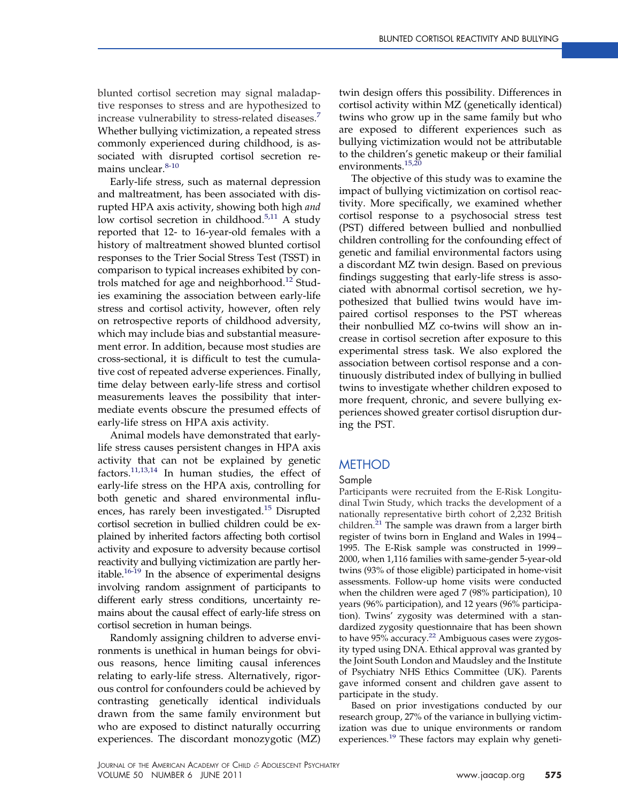blunted cortisol secretion may signal maladaptive responses to stress and are hypothesized to increase vulnerability to stress-related diseases.<sup>[7](#page-7-5)</sup> Whether bullying victimization, a repeated stress commonly experienced during childhood, is associated with disrupted cortisol secretion re-mains unclear.<sup>[8-10](#page-7-6)</sup>

Early-life stress, such as maternal depression and maltreatment, has been associated with disrupted HPA axis activity, showing both high *and* low cortisol secretion in childhood.<sup>[5,11](#page-7-4)</sup> A study reported that 12- to 16-year-old females with a history of maltreatment showed blunted cortisol responses to the Trier Social Stress Test (TSST) in comparison to typical increases exhibited by con-trols matched for age and neighborhood.<sup>[12](#page-7-7)</sup> Studies examining the association between early-life stress and cortisol activity, however, often rely on retrospective reports of childhood adversity, which may include bias and substantial measurement error. In addition, because most studies are cross-sectional, it is difficult to test the cumulative cost of repeated adverse experiences. Finally, time delay between early-life stress and cortisol measurements leaves the possibility that intermediate events obscure the presumed effects of early-life stress on HPA axis activity.

Animal models have demonstrated that earlylife stress causes persistent changes in HPA axis activity that can not be explained by genetic factors[.11,13,14](#page-7-8) In human studies, the effect of early-life stress on the HPA axis, controlling for both genetic and shared environmental influences, has rarely been investigated.<sup>15</sup> Disrupted cortisol secretion in bullied children could be explained by inherited factors affecting both cortisol activity and exposure to adversity because cortisol reactivity and bullying victimization are partly heritable. $16-19$  In the absence of experimental designs involving random assignment of participants to different early stress conditions, uncertainty remains about the causal effect of early-life stress on cortisol secretion in human beings.

Randomly assigning children to adverse environments is unethical in human beings for obvious reasons, hence limiting causal inferences relating to early-life stress. Alternatively, rigorous control for confounders could be achieved by contrasting genetically identical individuals drawn from the same family environment but who are exposed to distinct naturally occurring experiences. The discordant monozygotic (MZ)

twin design offers this possibility. Differences in cortisol activity within MZ (genetically identical) twins who grow up in the same family but who are exposed to different experiences such as bullying victimization would not be attributable to the children's genetic makeup or their familial environments.<sup>[15,20](#page-7-9)</sup>

The objective of this study was to examine the impact of bullying victimization on cortisol reactivity. More specifically, we examined whether cortisol response to a psychosocial stress test (PST) differed between bullied and nonbullied children controlling for the confounding effect of genetic and familial environmental factors using a discordant MZ twin design. Based on previous findings suggesting that early-life stress is associated with abnormal cortisol secretion, we hypothesized that bullied twins would have impaired cortisol responses to the PST whereas their nonbullied MZ co-twins will show an increase in cortisol secretion after exposure to this experimental stress task. We also explored the association between cortisol response and a continuously distributed index of bullying in bullied twins to investigate whether children exposed to more frequent, chronic, and severe bullying experiences showed greater cortisol disruption during the PST.

# METHOD

#### Sample

Participants were recruited from the E-Risk Longitudinal Twin Study, which tracks the development of a nationally representative birth cohort of 2,232 British children.<sup>21</sup> The sample was drawn from a larger birth register of twins born in England and Wales in 1994 – 1995. The E-Risk sample was constructed in 1999 – 2000, when 1,116 families with same-gender 5-year-old twins (93% of those eligible) participated in home-visit assessments. Follow-up home visits were conducted when the children were aged 7 (98% participation), 10 years (96% participation), and 12 years (96% participation). Twins' zygosity was determined with a standardized zygosity questionnaire that has been shown to have  $95\%$  accuracy.<sup>[22](#page-8-1)</sup> Ambiguous cases were zygosity typed using DNA. Ethical approval was granted by the Joint South London and Maudsley and the Institute of Psychiatry NHS Ethics Committee (UK). Parents gave informed consent and children gave assent to participate in the study.

Based on prior investigations conducted by our research group, 27% of the variance in bullying victimization was due to unique environments or random experiences.<sup>[19](#page-8-2)</sup> These factors may explain why geneti-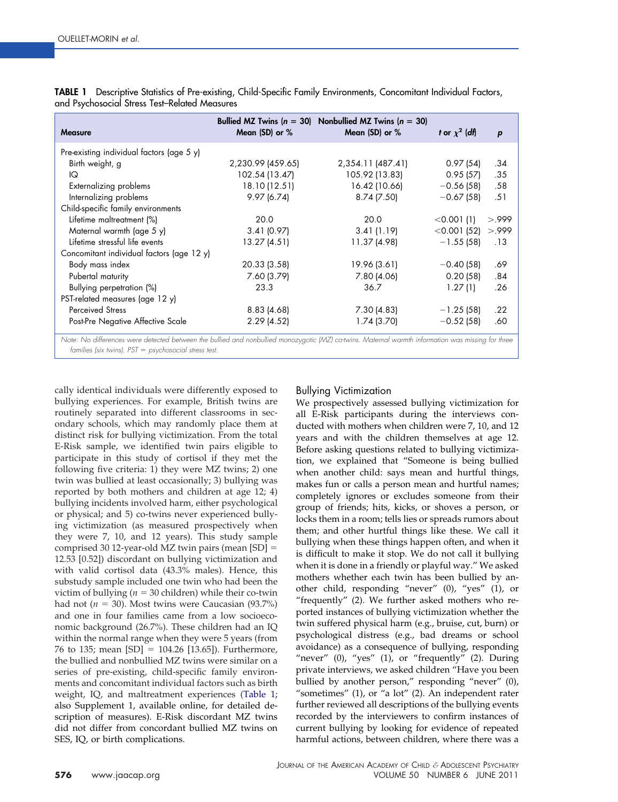| <b>Measure</b>                               | Mean (SD) or %    | Bullied MZ Twins $(n = 30)$ Nonbullied MZ Twins $(n = 30)$<br>Mean (SD) or % | <i>t</i> or $\chi^2$ (df) | p     |
|----------------------------------------------|-------------------|------------------------------------------------------------------------------|---------------------------|-------|
| Pre-existing individual factors (age 5 $y$ ) |                   |                                                                              |                           |       |
| Birth weight, g                              | 2,230.99 (459.65) | 2,354.11 (487.41)                                                            | 0.97(54)                  | .34   |
| IQ                                           | 102.54 (13.47)    | 105.92 (13.83)                                                               | 0.95(57)                  | .35   |
| <b>Externalizing problems</b>                | 18.10 (12.51)     | 16.42 (10.66)                                                                | $-0.56(58)$               | .58   |
| Internalizing problems                       | 9.97(6.74)        | 8.74 (7.50)                                                                  | $-0.67(58)$               | .51   |
| Child-specific family environments           |                   |                                                                              |                           |       |
| Lifetime maltreatment (%)                    | 20.0              | 20.0                                                                         | $<$ 0.001 (1)             | > 999 |
| Maternal warmth (age 5 y)                    | 3.41(0.97)        | 3.41(1.19)                                                                   | $<$ 0.001 (52)            | > 999 |
| Lifetime stressful life events               | 13.27(4.51)       | 11.37 (4.98)                                                                 | $-1.55(58)$               | .13   |
| Concomitant individual factors (age 12 y)    |                   |                                                                              |                           |       |
| Body mass index                              | 20.33 (3.58)      | 19.96 (3.61)                                                                 | $-0.40(58)$               | .69   |
| Pubertal maturity                            | 7.60 (3.79)       | 7.80 (4.06)                                                                  | 0.20(58)                  | .84   |
| Bullying perpetration (%)                    | 23.3              | 36.7                                                                         | 1.27(1)                   | .26   |
| PST-related measures (age 12 y)              |                   |                                                                              |                           |       |
| <b>Perceived Stress</b>                      | 8.83(4.68)        | 7.30(4.83)                                                                   | $-1.25(58)$               | .22   |
| Post-Pre Negative Affective Scale            | 2.29(4.52)        | 1.74(3.70)                                                                   | $-0.52(58)$               | .60   |

<span id="page-2-0"></span>**TABLE 1** Descriptive Statistics of Pre-existing, Child-Specific Family Environments, Concomitant Individual Factors, and Psychosocial Stress Test–Related Measures

*Note: No differences were detected between the bullied and nonbullied monozygotic (MZ) co-twins. Maternal warmth information was missing for three families (six twins). PST psychosocial stress test.*

cally identical individuals were differently exposed to bullying experiences. For example, British twins are routinely separated into different classrooms in secondary schools, which may randomly place them at distinct risk for bullying victimization. From the total E-Risk sample, we identified twin pairs eligible to participate in this study of cortisol if they met the following five criteria: 1) they were MZ twins; 2) one twin was bullied at least occasionally; 3) bullying was reported by both mothers and children at age 12; 4) bullying incidents involved harm, either psychological or physical; and 5) co-twins never experienced bullying victimization (as measured prospectively when they were 7, 10, and 12 years). This study sample comprised 30 12-year-old MZ twin pairs (mean  $[SD] =$ 12.53 [0.52]) discordant on bullying victimization and with valid cortisol data (43.3% males). Hence, this substudy sample included one twin who had been the victim of bullying  $(n = 30 \text{ children})$  while their co-twin had not  $(n = 30)$ . Most twins were Caucasian  $(93.7%)$ and one in four families came from a low socioeconomic background (26.7%). These children had an IQ within the normal range when they were 5 years (from 76 to 135; mean  $[SD] = 104.26$  [13.65]). Furthermore, the bullied and nonbullied MZ twins were similar on a series of pre-existing, child-specific family environments and concomitant individual factors such as birth weight, IQ, and maltreatment experiences [\(Table 1;](#page-2-0) also Supplement 1, available online, for detailed description of measures). E-Risk discordant MZ twins did not differ from concordant bullied MZ twins on SES, IQ, or birth complications.

# Bullying Victimization

We prospectively assessed bullying victimization for all E-Risk participants during the interviews conducted with mothers when children were 7, 10, and 12 years and with the children themselves at age 12. Before asking questions related to bullying victimization, we explained that "Someone is being bullied when another child: says mean and hurtful things, makes fun or calls a person mean and hurtful names; completely ignores or excludes someone from their group of friends; hits, kicks, or shoves a person, or locks them in a room; tells lies or spreads rumors about them; and other hurtful things like these. We call it bullying when these things happen often, and when it is difficult to make it stop. We do not call it bullying when it is done in a friendly or playful way." We asked mothers whether each twin has been bullied by another child, responding "never" (0), "yes" (1), or "frequently" (2). We further asked mothers who reported instances of bullying victimization whether the twin suffered physical harm (e.g., bruise, cut, burn) or psychological distress (e.g., bad dreams or school avoidance) as a consequence of bullying, responding "never"  $(0)$ , "yes"  $(1)$ , or "frequently"  $(2)$ . During private interviews, we asked children "Have you been bullied by another person," responding "never" (0), "sometimes" (1), or "a lot" (2). An independent rater further reviewed all descriptions of the bullying events recorded by the interviewers to confirm instances of current bullying by looking for evidence of repeated harmful actions, between children, where there was a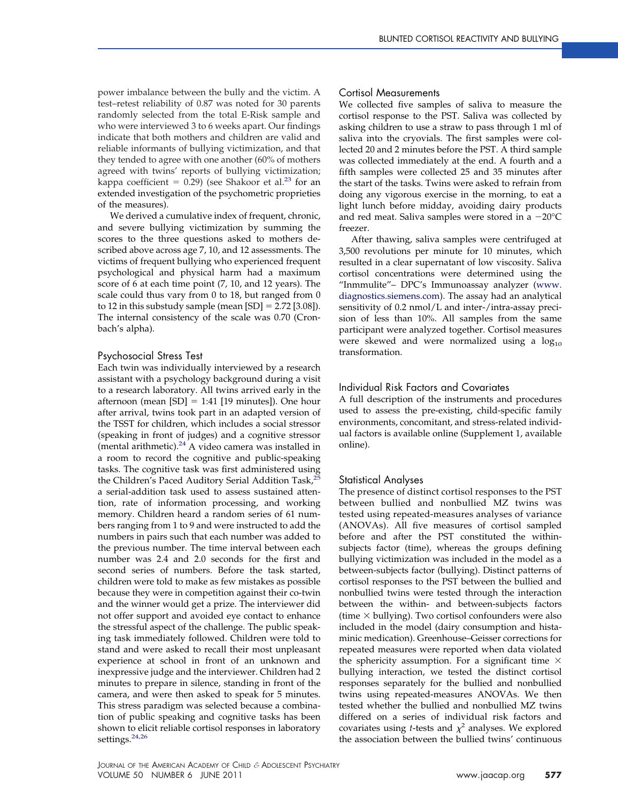power imbalance between the bully and the victim. A test–retest reliability of 0.87 was noted for 30 parents randomly selected from the total E-Risk sample and who were interviewed 3 to 6 weeks apart. Our findings indicate that both mothers and children are valid and reliable informants of bullying victimization, and that they tended to agree with one another (60% of mothers agreed with twins' reports of bullying victimization; kappa coefficient =  $0.29$ ) (see Shakoor et al.<sup>23</sup> for an extended investigation of the psychometric proprieties of the measures).

We derived a cumulative index of frequent, chronic, and severe bullying victimization by summing the scores to the three questions asked to mothers described above across age 7, 10, and 12 assessments. The victims of frequent bullying who experienced frequent psychological and physical harm had a maximum score of 6 at each time point (7, 10, and 12 years). The scale could thus vary from 0 to 18, but ranged from 0 to 12 in this substudy sample (mean  $[SD] = 2.72$   $[3.08]$ ). The internal consistency of the scale was 0.70 (Cronbach's alpha).

#### Psychosocial Stress Test

Each twin was individually interviewed by a research assistant with a psychology background during a visit to a research laboratory. All twins arrived early in the afternoon (mean  $[SD] = 1:41$  [19 minutes]). One hour after arrival, twins took part in an adapted version of the TSST for children, which includes a social stressor (speaking in front of judges) and a cognitive stressor (mental arithmetic). $24$  A video camera was installed in a room to record the cognitive and public-speaking tasks. The cognitive task was first administered using the Children's Paced Auditory Serial Addition Task,<sup>2</sup> a serial-addition task used to assess sustained attention, rate of information processing, and working memory. Children heard a random series of 61 numbers ranging from 1 to 9 and were instructed to add the numbers in pairs such that each number was added to the previous number. The time interval between each number was 2.4 and 2.0 seconds for the first and second series of numbers. Before the task started, children were told to make as few mistakes as possible because they were in competition against their co-twin and the winner would get a prize. The interviewer did not offer support and avoided eye contact to enhance the stressful aspect of the challenge. The public speaking task immediately followed. Children were told to stand and were asked to recall their most unpleasant experience at school in front of an unknown and inexpressive judge and the interviewer. Children had 2 minutes to prepare in silence, standing in front of the camera, and were then asked to speak for 5 minutes. This stress paradigm was selected because a combination of public speaking and cognitive tasks has been shown to elicit reliable cortisol responses in laboratory settings.<sup>24,26</sup>

#### Cortisol Measurements

We collected five samples of saliva to measure the cortisol response to the PST. Saliva was collected by asking children to use a straw to pass through 1 ml of saliva into the cryovials. The first samples were collected 20 and 2 minutes before the PST. A third sample was collected immediately at the end. A fourth and a fifth samples were collected 25 and 35 minutes after the start of the tasks. Twins were asked to refrain from doing any vigorous exercise in the morning, to eat a light lunch before midday, avoiding dairy products and red meat. Saliva samples were stored in a  $-20^{\circ}\mathrm{C}$ freezer.

After thawing, saliva samples were centrifuged at 3,500 revolutions per minute for 10 minutes, which resulted in a clear supernatant of low viscosity. Saliva cortisol concentrations were determined using the "Inmmulite"– DPC's Immunoassay analyzer [\(www.](http://www.diagnostics.siemens.com) [diagnostics.siemens.com\)](http://www.diagnostics.siemens.com). The assay had an analytical sensitivity of 0.2 nmol/L and inter-/intra-assay precision of less than 10%. All samples from the same participant were analyzed together. Cortisol measures were skewed and were normalized using a  $log_{10}$ transformation.

#### Individual Risk Factors and Covariates

A full description of the instruments and procedures used to assess the pre-existing, child-specific family environments, concomitant, and stress-related individual factors is available online (Supplement 1, available online).

#### Statistical Analyses

The presence of distinct cortisol responses to the PST between bullied and nonbullied MZ twins was tested using repeated-measures analyses of variance (ANOVAs). All five measures of cortisol sampled before and after the PST constituted the withinsubjects factor (time), whereas the groups defining bullying victimization was included in the model as a between-subjects factor (bullying). Distinct patterns of cortisol responses to the PST between the bullied and nonbullied twins were tested through the interaction between the within- and between-subjects factors (time  $\times$  bullying). Two cortisol confounders were also included in the model (dairy consumption and histaminic medication). Greenhouse–Geisser corrections for repeated measures were reported when data violated the sphericity assumption. For a significant time  $\times$ bullying interaction, we tested the distinct cortisol responses separately for the bullied and nonbullied twins using repeated-measures ANOVAs. We then tested whether the bullied and nonbullied MZ twins differed on a series of individual risk factors and covariates using *t*-tests and  $\chi^2$  analyses. We explored the association between the bullied twins' continuous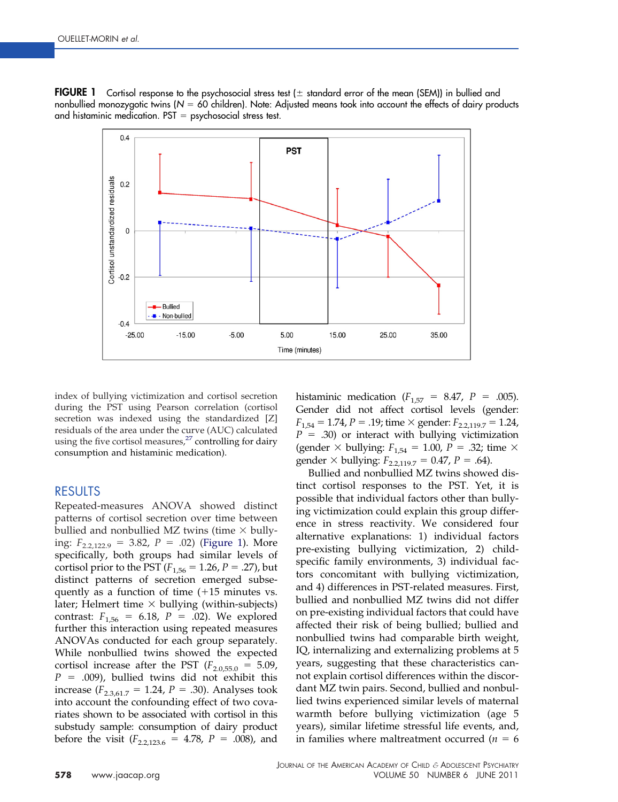<span id="page-4-0"></span>**FIGURE 1** Cortisol response to the psychosocial stress test ( $\pm$  standard error of the mean (SEM)) in bullied and nonbullied monozygotic twins ( $N = 60$  children). Note: Adjusted means took into account the effects of dairy products and histaminic medication.  $PST =$  psychosocial stress test.



index of bullying victimization and cortisol secretion during the PST using Pearson correlation (cortisol secretion was indexed using the standardized [Z] residuals of the area under the curve (AUC) calculated using the five cortisol measures, $27$  controlling for dairy consumption and histaminic medication).

# RESULTS

Repeated-measures ANOVA showed distinct patterns of cortisol secretion over time between bullied and nonbullied MZ twins (time  $\times$  bullying:  $F_{2.2,122.9}$  = 3.82,  $P = .02$ ) [\(Figure 1\)](#page-4-0). More specifically, both groups had similar levels of cortisol prior to the PST ( $F_{1,56} = 1.26$ ,  $P = .27$ ), but distinct patterns of secretion emerged subsequently as a function of time  $(+15$  minutes vs. later; Helmert time  $\times$  bullying (within-subjects) contrast:  $F_{1,56} = 6.18$ ,  $P = .02$ ). We explored further this interaction using repeated measures ANOVAs conducted for each group separately. While nonbullied twins showed the expected cortisol increase after the PST  $(F_{2.0,55.0} = 5.09,$  $P = .009$ , bullied twins did not exhibit this increase  $(F_{2,3,61,7} = 1.24, P = .30)$ . Analyses took into account the confounding effect of two covariates shown to be associated with cortisol in this substudy sample: consumption of dairy product before the visit  $(F_{2,2,123.6} = 4.78, P = .008)$ , and

histaminic medication ( $F_{1,57}$  = 8.47, *P* = .005). Gender did not affect cortisol levels (gender:  $F_{1,54} = 1.74$ ,  $P = .19$ ; time  $\times$  gender:  $F_{2,2,119,7} = 1.24$ ,  $P = .30$ ) or interact with bullying victimization (gender  $\times$  bullying:  $F_{1,54} = 1.00$ ,  $P = .32$ ; time  $\times$ gender  $\times$  bullying:  $F_{2.2,119.7} = 0.47$ ,  $P = .64$ ).

Bullied and nonbullied MZ twins showed distinct cortisol responses to the PST. Yet, it is possible that individual factors other than bullying victimization could explain this group difference in stress reactivity. We considered four alternative explanations: 1) individual factors pre-existing bullying victimization, 2) childspecific family environments, 3) individual factors concomitant with bullying victimization, and 4) differences in PST-related measures. First, bullied and nonbullied MZ twins did not differ on pre-existing individual factors that could have affected their risk of being bullied; bullied and nonbullied twins had comparable birth weight, IQ, internalizing and externalizing problems at 5 years, suggesting that these characteristics cannot explain cortisol differences within the discordant MZ twin pairs. Second, bullied and nonbullied twins experienced similar levels of maternal warmth before bullying victimization (age 5 years), similar lifetime stressful life events, and, in families where maltreatment occurred  $(n = 6)$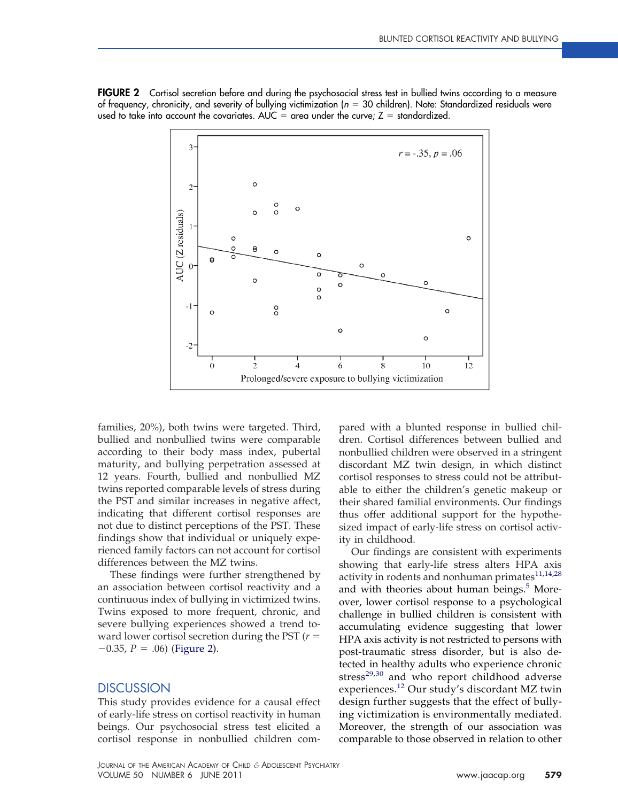

<span id="page-5-0"></span>**FIGURE 2** Cortisol secretion before and during the psychosocial stress test in bullied twins according to a measure of frequency, chronicity, and severity of bullying victimization (*n* 30 children). Note: Standardized residuals were used to take into account the covariates. AUC = area under the curve;  $Z =$  standardized.

families, 20%), both twins were targeted. Third, bullied and nonbullied twins were comparable according to their body mass index, pubertal maturity, and bullying perpetration assessed at 12 years. Fourth, bullied and nonbullied MZ twins reported comparable levels of stress during the PST and similar increases in negative affect, indicating that different cortisol responses are not due to distinct perceptions of the PST. These findings show that individual or uniquely experienced family factors can not account for cortisol differences between the MZ twins.

These findings were further strengthened by an association between cortisol reactivity and a continuous index of bullying in victimized twins. Twins exposed to more frequent, chronic, and severe bullying experiences showed a trend toward lower cortisol secretion during the PST (*r*  $-0.35$ ,  $P = .06$ ) [\(Figure 2\)](#page-5-0).

# **DISCUSSION**

This study provides evidence for a causal effect of early-life stress on cortisol reactivity in human beings. Our psychosocial stress test elicited a cortisol response in nonbullied children compared with a blunted response in bullied children. Cortisol differences between bullied and nonbullied children were observed in a stringent discordant MZ twin design, in which distinct cortisol responses to stress could not be attributable to either the children's genetic makeup or their shared familial environments. Our findings thus offer additional support for the hypothesized impact of early-life stress on cortisol activity in childhood.

Our findings are consistent with experiments showing that early-life stress alters HPA axis activity in rodents and nonhuman primates $11,14,28$ and with theories about human beings.<sup>[5](#page-7-4)</sup> Moreover, lower cortisol response to a psychological challenge in bullied children is consistent with accumulating evidence suggesting that lower HPA axis activity is not restricted to persons with post-traumatic stress disorder, but is also detected in healthy adults who experience chronic stress<sup>[29,30](#page-8-7)</sup> and who report childhood adverse experiences.[12](#page-7-7) Our study's discordant MZ twin design further suggests that the effect of bullying victimization is environmentally mediated. Moreover, the strength of our association was comparable to those observed in relation to other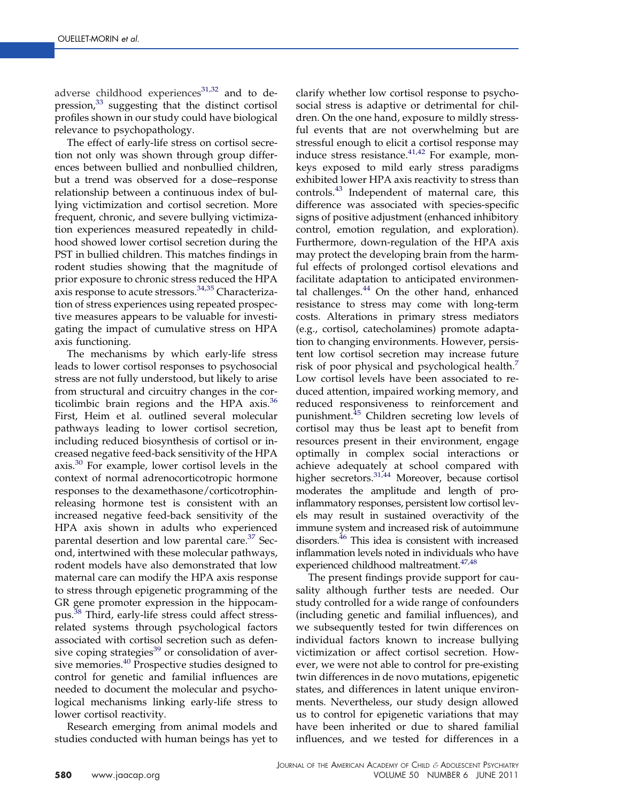adverse childhood experiences $31,32$  and to de-pression,<sup>[33](#page-8-9)</sup> suggesting that the distinct cortisol profiles shown in our study could have biological relevance to psychopathology.

The effect of early-life stress on cortisol secretion not only was shown through group differences between bullied and nonbullied children, but a trend was observed for a dose–response relationship between a continuous index of bullying victimization and cortisol secretion. More frequent, chronic, and severe bullying victimization experiences measured repeatedly in childhood showed lower cortisol secretion during the PST in bullied children. This matches findings in rodent studies showing that the magnitude of prior exposure to chronic stress reduced the HPA axis response to acute stressors.<sup>[34,35](#page-8-10)</sup> Characterization of stress experiences using repeated prospective measures appears to be valuable for investigating the impact of cumulative stress on HPA axis functioning.

The mechanisms by which early-life stress leads to lower cortisol responses to psychosocial stress are not fully understood, but likely to arise from structural and circuitry changes in the corticolimbic brain regions and the HPA  $axis.^{36}$  $axis.^{36}$  $axis.^{36}$ First, Heim et al. outlined several molecular pathways leading to lower cortisol secretion, including reduced biosynthesis of cortisol or increased negative feed-back sensitivity of the HPA axis.[30](#page-8-12) For example, lower cortisol levels in the context of normal adrenocorticotropic hormone responses to the dexamethasone/corticotrophinreleasing hormone test is consistent with an increased negative feed-back sensitivity of the HPA axis shown in adults who experienced parental desertion and low parental care.<sup>37</sup> Second, intertwined with these molecular pathways, rodent models have also demonstrated that low maternal care can modify the HPA axis response to stress through epigenetic programming of the GR gene promoter expression in the hippocampus[.38](#page-8-14) Third, early-life stress could affect stressrelated systems through psychological factors associated with cortisol secretion such as defensive coping strategies<sup>39</sup> or consolidation of aversive memories[.40](#page-8-16) Prospective studies designed to control for genetic and familial influences are needed to document the molecular and psychological mechanisms linking early-life stress to lower cortisol reactivity.

Research emerging from animal models and studies conducted with human beings has yet to

clarify whether low cortisol response to psychosocial stress is adaptive or detrimental for children. On the one hand, exposure to mildly stressful events that are not overwhelming but are stressful enough to elicit a cortisol response may induce stress resistance. $41,42$  For example, monkeys exposed to mild early stress paradigms exhibited lower HPA axis reactivity to stress than controls.<sup>43</sup> Independent of maternal care, this difference was associated with species-specific signs of positive adjustment (enhanced inhibitory control, emotion regulation, and exploration). Furthermore, down-regulation of the HPA axis may protect the developing brain from the harmful effects of prolonged cortisol elevations and facilitate adaptation to anticipated environmental challenges. $44$  On the other hand, enhanced resistance to stress may come with long-term costs. Alterations in primary stress mediators (e.g., cortisol, catecholamines) promote adaptation to changing environments. However, persistent low cortisol secretion may increase future risk of poor physical and psychological health.<sup>[7](#page-7-5)</sup> Low cortisol levels have been associated to reduced attention, impaired working memory, and reduced responsiveness to reinforcement and punishment.[45](#page-8-20) Children secreting low levels of cortisol may thus be least apt to benefit from resources present in their environment, engage optimally in complex social interactions or achieve adequately at school compared with higher secretors.<sup>31,44</sup> Moreover, because cortisol moderates the amplitude and length of proinflammatory responses, persistent low cortisol levels may result in sustained overactivity of the immune system and increased risk of autoimmune disorders.<sup>46</sup> This idea is consistent with increased inflammation levels noted in individuals who have experienced childhood maltreatment.<sup>47,48</sup>

The present findings provide support for causality although further tests are needed. Our study controlled for a wide range of confounders (including genetic and familial influences), and we subsequently tested for twin differences on individual factors known to increase bullying victimization or affect cortisol secretion. However, we were not able to control for pre-existing twin differences in de novo mutations, epigenetic states, and differences in latent unique environments. Nevertheless, our study design allowed us to control for epigenetic variations that may have been inherited or due to shared familial influences, and we tested for differences in a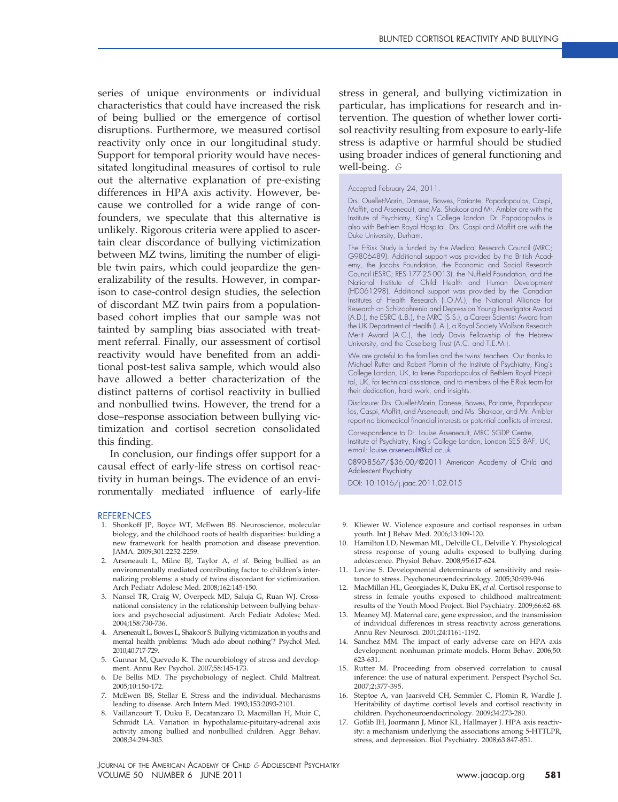series of unique environments or individual characteristics that could have increased the risk of being bullied or the emergence of cortisol disruptions. Furthermore, we measured cortisol reactivity only once in our longitudinal study. Support for temporal priority would have necessitated longitudinal measures of cortisol to rule out the alternative explanation of pre-existing differences in HPA axis activity. However, because we controlled for a wide range of confounders, we speculate that this alternative is unlikely. Rigorous criteria were applied to ascertain clear discordance of bullying victimization between MZ twins, limiting the number of eligible twin pairs, which could jeopardize the generalizability of the results. However, in comparison to case-control design studies, the selection of discordant MZ twin pairs from a populationbased cohort implies that our sample was not tainted by sampling bias associated with treatment referral. Finally, our assessment of cortisol reactivity would have benefited from an additional post-test saliva sample, which would also have allowed a better characterization of the distinct patterns of cortisol reactivity in bullied and nonbullied twins. However, the trend for a dose–response association between bullying victimization and cortisol secretion consolidated this finding.

In conclusion, our findings offer support for a causal effect of early-life stress on cortisol reactivity in human beings. The evidence of an environmentally mediated influence of early-life

#### <span id="page-7-0"></span>**REFERENCES**

- 1. Shonkoff JP, Boyce WT, McEwen BS. Neuroscience, molecular biology, and the childhood roots of health disparities: building a new framework for health promotion and disease prevention. JAMA. 2009;301:2252-2259.
- <span id="page-7-1"></span>2. Arseneault L, Milne BJ, Taylor A, *et al.* Being bullied as an environmentally mediated contributing factor to children's internalizing problems: a study of twins discordant for victimization. Arch Pediatr Adolesc Med. 2008;162:145-150.
- <span id="page-7-2"></span>3. Nansel TR, Craig W, Overpeck MD, Saluja G, Ruan WJ. Crossnational consistency in the relationship between bullying behaviors and psychosocial adjustment. Arch Pediatr Adolesc Med. 2004;158:730-736.
- <span id="page-7-4"></span><span id="page-7-3"></span>4. Arseneault L, Bowes L, Shakoor S. Bullying victimization in youths and mental health problems: 'Much ado about nothing'? Psychol Med. 2010;40:717-729.
- 5. Gunnar M, Quevedo K. The neurobiology of stress and development. Annu Rev Psychol. 2007;58:145-173.
- <span id="page-7-5"></span>6. De Bellis MD. The psychobiology of neglect. Child Maltreat. 2005;10:150-172.
- <span id="page-7-6"></span>7. McEwen BS, Stellar E. Stress and the individual. Mechanisms leading to disease. Arch Intern Med. 1993;153:2093-2101.
- 8. Vaillancourt T, Duku E, Decatanzaro D, Macmillan H, Muir C, Schmidt LA. Variation in hypothalamic-pituitary-adrenal axis activity among bullied and nonbullied children. Aggr Behav. 2008;34:294-305.

stress in general, and bullying victimization in particular, has implications for research and intervention. The question of whether lower cortisol reactivity resulting from exposure to early-life stress is adaptive or harmful should be studied using broader indices of general functioning and well-being. *&*

#### Accepted February 24, 2011.

Drs. Ouellet-Morin, Danese, Bowes, Pariante, Papadopoulos, Caspi, Moffitt, and Arseneault, and Ms. Shakoor and Mr. Ambler are with the Institute of Psychiatry, King's College London. Dr. Papadopoulos is also with Bethlem Royal Hospital. Drs. Caspi and Moffitt are with the Duke University, Durham.

The E-Risk Study is funded by the Medical Research Council (MRC; G9806489). Additional support was provided by the British Academy, the Jacobs Foundation, the Economic and Social Research Council (ESRC; RES-177-25-0013), the Nuffield Foundation, and the National Institute of Child Health and Human Development (HD061298). Additional support was provided by the Canadian Institutes of Health Research (I.O.M.), the National Alliance for Research on Schizophrenia and Depression Young Investigator Award (A.D.), the ESRC (L.B.), the MRC (S.S.), a Career Scientist Award from the UK Department of Health (L.A.), a Royal Society Wolfson Research Merit Award (A.C.), the Lady Davis Fellowship of the Hebrew University, and the Caselberg Trust (A.C. and T.E.M.).

We are grateful to the families and the twins' teachers. Our thanks to Michael Rutter and Robert Plomin of the Institute of Psychiatry, King's College London, UK, to Irene Papadopoulos of Bethlem Royal Hospital, UK, for technical assistance, and to members of the E-Risk team for their dedication, hard work, and insights.

Disclosure: Drs. Ouellet-Morin, Danese, Bowes, Pariante, Papadopoulos, Caspi, Moffitt, and Arseneault, and Ms. Shakoor, and Mr. Ambler report no biomedical financial interests or potential conflicts of interest.

Correspondence to Dr. Louise Arseneault, MRC SGDP Centre, Institute of Psychiatry, King's College London, London SE5 8AF, UK; e-mail: [louise.arseneault@kcl.ac.uk](mailto:louise.arseneault@kcl.ac.uk)

0890-8567/\$36.00/©2011 American Academy of Child and Adolescent Psychiatry

DOI: 10.1016/j.jaac.2011.02.015

- 9. Kliewer W. Violence exposure and cortisol responses in urban youth. Int J Behav Med. 2006;13:109-120.
- Hamilton LD, Newman ML, Delville CL, Delville Y. Physiological stress response of young adults exposed to bullying during adolescence. Physiol Behav. 2008;95:617-624.
- <span id="page-7-8"></span><span id="page-7-7"></span>11. Levine S. Developmental determinants of sensitivity and resistance to stress. Psychoneuroendocrinology. 2005;30:939-946.
- 12. MacMillan HL, Georgiades K, Duku EK, *et al.* Cortisol response to stress in female youths exposed to childhood maltreatment: results of the Youth Mood Project. Biol Psychiatry. 2009;66:62-68.
- 13. Meaney MJ. Maternal care, gene expression, and the transmission of individual differences in stress reactivity across generations. Annu Rev Neurosci. 2001;24:1161-1192.
- <span id="page-7-9"></span>14. Sanchez MM. The impact of early adverse care on HPA axis development: nonhuman primate models. Horm Behav. 2006;50: 623-631.
- <span id="page-7-10"></span>15. Rutter M. Proceeding from observed correlation to causal inference: the use of natural experiment. Perspect Psychol Sci. 2007;2:377-395.
- 16. Steptoe A, van Jaarsveld CH, Semmler C, Plomin R, Wardle J. Heritability of daytime cortisol levels and cortisol reactivity in children. Psychoneuroendocrinology. 2009;34:273-280.
- 17. Gotlib IH, Joormann J, Minor KL, Hallmayer J. HPA axis reactivity: a mechanism underlying the associations among 5-HTTLPR, stress, and depression. Biol Psychiatry. 2008;63:847-851.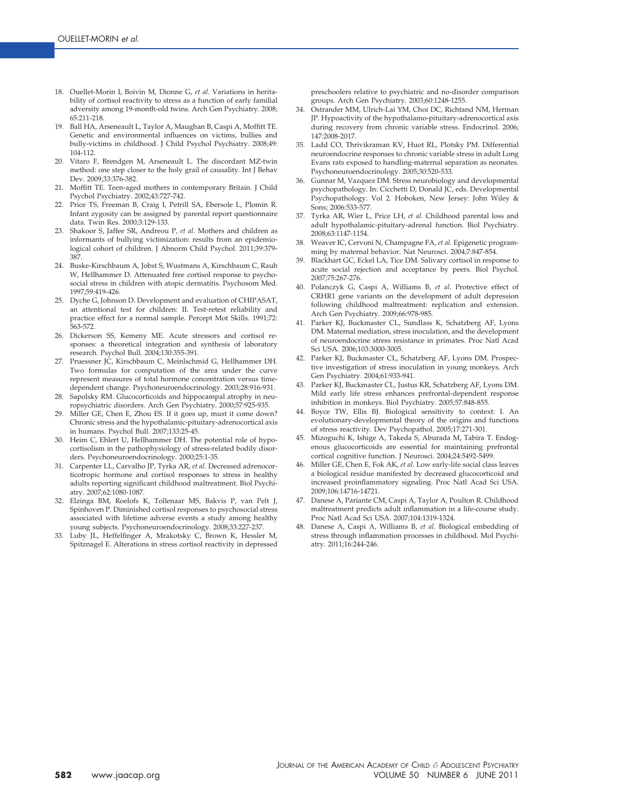- 18. Ouellet-Morin I, Boivin M, Dionne G, *et al.* Variations in heritability of cortisol reactivity to stress as a function of early familial adversity among 19-month-old twins. Arch Gen Psychiatry. 2008; 65:211-218.
- <span id="page-8-2"></span>19. Ball HA, Arseneault L, Taylor A, Maughan B, Caspi A, Moffitt TE. Genetic and environmental influences on victims, bullies and bully-victims in childhood. J Child Psychol Psychiatry. 2008;49: 104-112.
- 20. Vitaro F, Brendgen M, Arseneault L. The discordant MZ-twin method: one step closer to the holy grail of causality. Int J Behav Dev. 2009;33:376-382.
- <span id="page-8-1"></span><span id="page-8-0"></span>21. Moffitt TE. Teen-aged mothers in contemporary Britain. J Child Psychol Psychiatry. 2002;43:727-742.
- 22. Price TS, Freeman B, Craig I, Petrill SA, Ebersole L, Plomin R. Infant zygosity can be assigned by parental report questionnaire data. Twin Res. 2000;3:129-133.
- <span id="page-8-3"></span>23. Shakoor S, Jaffee SR, Andreou P, *et al.* Mothers and children as informants of bullying victimization: results from an epidemiological cohort of children. J Abnorm Child Psychol. 2011;39:379- 387.
- <span id="page-8-4"></span>24. Buske-Kirschbaum A, Jobst S, Wustmans A, Kirschbaum C, Rauh W, Hellhammer D. Attenuated free cortisol response to psychosocial stress in children with atopic dermatitis. Psychosom Med. 1997;59:419-426.
- <span id="page-8-5"></span>25. Dyche G, Johnson D. Development and evaluation of CHIPASAT, an attentional test for children: II. Test-retest reliability and practice effect for a normal sample. Percept Mot Skills. 1991;72: 563-572.
- 26. Dickerson SS, Kemeny ME. Acute stressors and cortisol responses: a theoretical integration and synthesis of laboratory research. Psychol Bull. 2004;130:355-391.
- <span id="page-8-6"></span>27. Pruessner JC, Kirschbaum C, Meinlschmid G, Hellhammer DH. Two formulas for computation of the area under the curve represent measures of total hormone concentration versus timedependent change. Psychoneuroendocrinology. 2003;28:916-931.
- <span id="page-8-7"></span>28. Sapolsky RM. Glucocorticoids and hippocampal atrophy in neuropsychiatric disorders. Arch Gen Psychiatry. 2000;57:925-935.
- 29. Miller GE, Chen E, Zhou ES. If it goes up, must it come down? Chronic stress and the hypothalamic-pituitary-adrenocortical axis in humans. Psychol Bull. 2007;133:25-45.
- <span id="page-8-12"></span><span id="page-8-8"></span>30. Heim C, Ehlert U, Hellhammer DH. The potential role of hypocortisolism in the pathophysiology of stress-related bodily disorders. Psychoneuroendocrinology. 2000;25:1-35.
- 31. Carpenter LL, Carvalho JP, Tyrka AR, *et al.* Decreased adrenocorticotropic hormone and cortisol responses to stress in healthy adults reporting significant childhood maltreatment. Biol Psychiatry. 2007;62:1080-1087.
- 32. Elzinga BM, Roelofs K, Tollenaar MS, Bakvis P, van Pelt J, Spinhoven P. Diminished cortisol responses to psychosocial stress associated with lifetime adverse events a study among healthy young subjects. Psychoneuroendocrinology. 2008;33:227-237.
- <span id="page-8-9"></span>33. Luby JL, Heffelfinger A, Mrakotsky C, Brown K, Hessler M, Spitznagel E. Alterations in stress cortisol reactivity in depressed

preschoolers relative to psychiatric and no-disorder comparison groups. Arch Gen Psychiatry. 2003;60:1248-1255.

- <span id="page-8-10"></span>34. Ostrander MM, Ulrich-Lai YM, Choi DC, Richtand NM, Herman JP. Hypoactivity of the hypothalamo-pituitary-adrenocortical axis during recovery from chronic variable stress. Endocrinol. 2006; 147:2008-2017.
- 35. Ladd CO, Thrivikraman KV, Huot RL, Plotsky PM. Differential neuroendocrine responses to chronic variable stress in adult Long Evans rats exposed to handling-maternal separation as neonates. Psychoneuroendocrinology. 2005;30:520-533.
- <span id="page-8-11"></span>36. Gunnar M, Vazquez DM. Stress neurobiology and developmental psychopathology. In: Cicchetti D, Donald JC, eds. Developmental Psychopathology. Vol 2. Hoboken, New Jersey: John Wiley & Sons; 2006:533-577.
- <span id="page-8-13"></span>37. Tyrka AR, Wier L, Price LH, *et al.* Childhood parental loss and adult hypothalamic-pituitary-adrenal function. Biol Psychiatry. 2008;63:1147-1154.
- <span id="page-8-15"></span><span id="page-8-14"></span>38. Weaver IC, Cervoni N, Champagne FA, *et al.* Epigenetic programming by maternal behavior. Nat Neurosci. 2004;7:847-854.
- Blackhart GC, Eckel LA, Tice DM. Salivary cortisol in response to acute social rejection and acceptance by peers. Biol Psychol. 2007;75:267-276.
- <span id="page-8-16"></span>40. Polanczyk G, Caspi A, Williams B, *et al.* Protective effect of CRHR1 gene variants on the development of adult depression following childhood maltreatment: replication and extension. Arch Gen Psychiatry. 2009;66:978-985.
- <span id="page-8-17"></span>41. Parker KJ, Buckmaster CL, Sundlass K, Schatzberg AF, Lyons DM. Maternal mediation, stress inoculation, and the development of neuroendocrine stress resistance in primates. Proc Natl Acad Sci USA. 2006;103:3000-3005.
- 42. Parker KJ, Buckmaster CL, Schatzberg AF, Lyons DM. Prospective investigation of stress inoculation in young monkeys. Arch Gen Psychiatry. 2004;61:933-941.
- <span id="page-8-18"></span>43. Parker KJ, Buckmaster CL, Justus KR, Schatzberg AF, Lyons DM. Mild early life stress enhances prefrontal-dependent response inhibition in monkeys. Biol Psychiatry. 2005;57:848-855.
- <span id="page-8-19"></span>44. Boyce TW, Ellis BJ. Biological sensitivity to context: I. An evolutionary-developmental theory of the origins and functions of stress reactivity. Dev Psychopathol. 2005;17:271-301.
- <span id="page-8-21"></span><span id="page-8-20"></span>45. Mizoguchi K, Ishige A, Takeda S, Aburada M, Tabira T. Endogenous glucocorticoids are essential for maintaining prefrontal cortical cognitive function. J Neurosci. 2004;24:5492-5499.
- Miller GE, Chen E, Fok AK, et al. Low early-life social class leaves a biological residue manifested by decreased glucocorticoid and increased proinflammatory signaling. Proc Natl Acad Sci USA. 2009;106:14716-14721.
- <span id="page-8-22"></span>47. Danese A, Pariante CM, Caspi A, Taylor A, Poulton R. Childhood maltreatment predicts adult inflammation in a life-course study. Proc Natl Acad Sci USA. 2007;104:1319-1324.
- 48. Danese A, Caspi A, Williams B, *et al.* Biological embedding of stress through inflammation processes in childhood. Mol Psychiatry. 2011;16:244-246.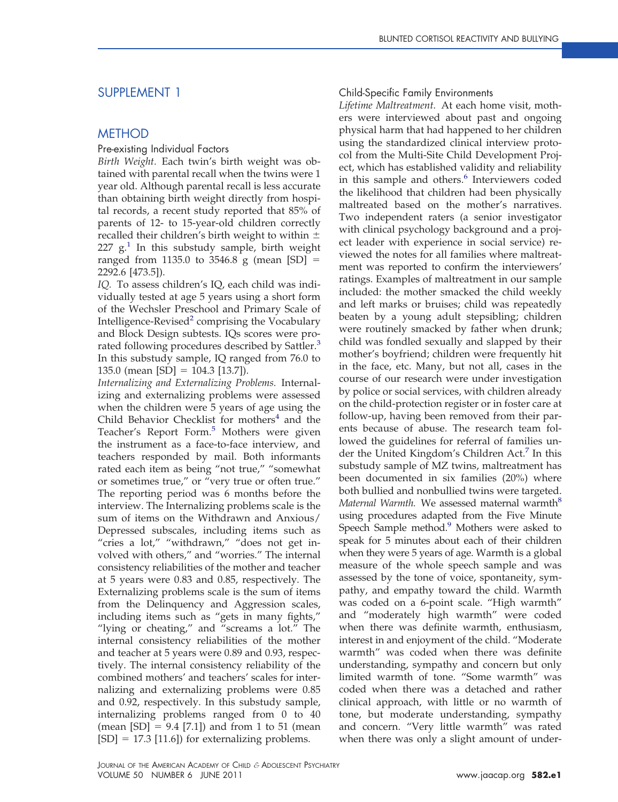# SUPPLEMENT 1

# **METHOD**

# Pre-existing Individual Factors

*Birth Weight.* Each twin's birth weight was obtained with parental recall when the twins were 1 year old. Although parental recall is less accurate than obtaining birth weight directly from hospital records, a recent study reported that 85% of parents of 12- to 15-year-old children correctly recalled their children's birth weight to within  $\pm$ 227  $g<sup>1</sup>$  $g<sup>1</sup>$  $g<sup>1</sup>$  In this substudy sample, birth weight ranged from 1135.0 to 3546.8 g (mean  $[SD] =$ 2292.6 [473.5]).

*IQ.* To assess children's IQ, each child was individually tested at age 5 years using a short form of the Wechsler Preschool and Primary Scale of Intelligence-Revised<sup>[2](#page-11-0)</sup> comprising the Vocabulary and Block Design subtests. IQs scores were pro-rated following procedures described by Sattler.<sup>[3](#page-11-0)</sup> In this substudy sample, IQ ranged from 76.0 to 135.0 (mean [SD] = 104.3 [13.7]).

*Internalizing and Externalizing Problems.* Internalizing and externalizing problems were assessed when the children were 5 years of age using the Child Behavior Checklist for mothers $4$  and the Teacher's Report Form.<sup>[5](#page-11-0)</sup> Mothers were given the instrument as a face-to-face interview, and teachers responded by mail. Both informants rated each item as being "not true," "somewhat or sometimes true," or "very true or often true." The reporting period was 6 months before the interview. The Internalizing problems scale is the sum of items on the Withdrawn and Anxious/ Depressed subscales, including items such as "cries a lot," "withdrawn," "does not get involved with others," and "worries." The internal consistency reliabilities of the mother and teacher at 5 years were 0.83 and 0.85, respectively. The Externalizing problems scale is the sum of items from the Delinquency and Aggression scales, including items such as "gets in many fights," "lying or cheating," and "screams a lot." The internal consistency reliabilities of the mother and teacher at 5 years were 0.89 and 0.93, respectively. The internal consistency reliability of the combined mothers' and teachers' scales for internalizing and externalizing problems were 0.85 and 0.92, respectively. In this substudy sample, internalizing problems ranged from 0 to 40 (mean  $[SD] = 9.4 [7.1]$ ) and from 1 to 51 (mean  $[SD] = 17.3$  [11.6]) for externalizing problems.

# Child-Specific Family Environments

*Lifetime Maltreatment.* At each home visit, mothers were interviewed about past and ongoing physical harm that had happened to her children using the standardized clinical interview protocol from the Multi-Site Child Development Project, which has established validity and reliability in this sample and others.<sup>[6](#page-11-0)</sup> Interviewers coded the likelihood that children had been physically maltreated based on the mother's narratives. Two independent raters (a senior investigator with clinical psychology background and a project leader with experience in social service) reviewed the notes for all families where maltreatment was reported to confirm the interviewers' ratings. Examples of maltreatment in our sample included: the mother smacked the child weekly and left marks or bruises; child was repeatedly beaten by a young adult stepsibling; children were routinely smacked by father when drunk; child was fondled sexually and slapped by their mother's boyfriend; children were frequently hit in the face, etc. Many, but not all, cases in the course of our research were under investigation by police or social services, with children already on the child-protection register or in foster care at follow-up, having been removed from their parents because of abuse. The research team followed the guidelines for referral of families un-der the United Kingdom's Children Act.<sup>[7](#page-11-0)</sup> In this substudy sample of MZ twins, maltreatment has been documented in six families (20%) where both bullied and nonbullied twins were targeted. *Maternal Warmth.* We assessed maternal warmth<sup>8</sup> using procedures adapted from the Five Minute Speech Sample method.<sup>9</sup> Mothers were asked to speak for 5 minutes about each of their children when they were 5 years of age. Warmth is a global measure of the whole speech sample and was assessed by the tone of voice, spontaneity, sympathy, and empathy toward the child. Warmth was coded on a 6-point scale. "High warmth" and "moderately high warmth" were coded when there was definite warmth, enthusiasm, interest in and enjoyment of the child. "Moderate warmth" was coded when there was definite understanding, sympathy and concern but only limited warmth of tone. "Some warmth" was coded when there was a detached and rather clinical approach, with little or no warmth of tone, but moderate understanding, sympathy and concern. "Very little warmth" was rated when there was only a slight amount of under-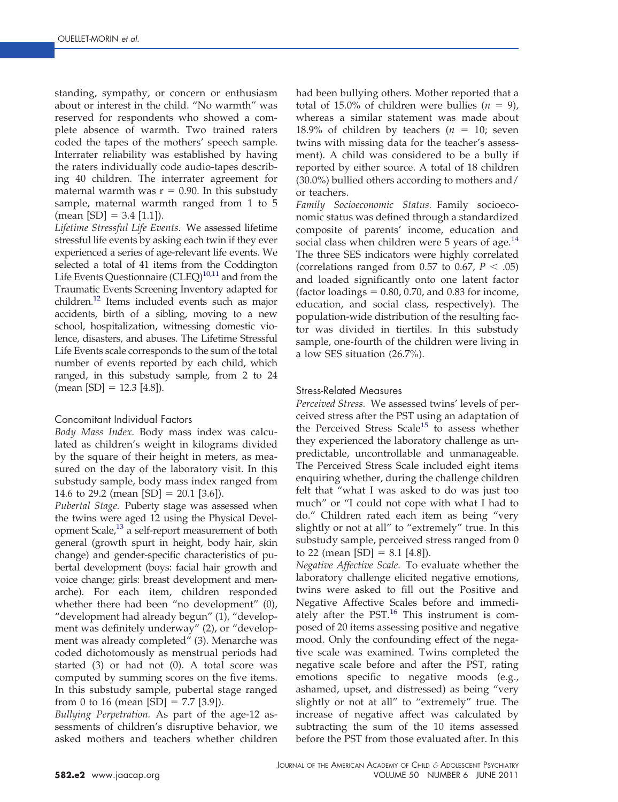standing, sympathy, or concern or enthusiasm about or interest in the child. "No warmth" was reserved for respondents who showed a complete absence of warmth. Two trained raters coded the tapes of the mothers' speech sample. Interrater reliability was established by having the raters individually code audio-tapes describing 40 children. The interrater agreement for maternal warmth was  $r = 0.90$ . In this substudy sample, maternal warmth ranged from 1 to 5  $(mean [SD] = 3.4 [1.1]).$ 

*Lifetime Stressful Life Events.* We assessed lifetime stressful life events by asking each twin if they ever experienced a series of age-relevant life events. We selected a total of 41 items from the Coddington Life Events Questionnaire (CLEQ)<sup>10,11</sup> and from the Traumatic Events Screening Inventory adapted for children[.12](#page-11-0) Items included events such as major accidents, birth of a sibling, moving to a new school, hospitalization, witnessing domestic violence, disasters, and abuses. The Lifetime Stressful Life Events scale corresponds to the sum of the total number of events reported by each child, which ranged, in this substudy sample, from 2 to 24  $(mean [SD] = 12.3 [4.8]).$ 

### Concomitant Individual Factors

*Body Mass Index.* Body mass index was calculated as children's weight in kilograms divided by the square of their height in meters, as measured on the day of the laboratory visit. In this substudy sample, body mass index ranged from 14.6 to 29.2 (mean  $[SD] = 20.1$  [3.6]).

*Pubertal Stage.* Puberty stage was assessed when the twins were aged 12 using the Physical Development Scale,<sup>13</sup> a self-report measurement of both general (growth spurt in height, body hair, skin change) and gender-specific characteristics of pubertal development (boys: facial hair growth and voice change; girls: breast development and menarche). For each item, children responded whether there had been "no development" (0), "development had already begun" (1), "development was definitely underway" (2), or "development was already completed" (3). Menarche was coded dichotomously as menstrual periods had started (3) or had not (0). A total score was computed by summing scores on the five items. In this substudy sample, pubertal stage ranged from 0 to 16 (mean  $[SD] = 7.7$   $[3.9]$ ).

*Bullying Perpetration.* As part of the age-12 assessments of children's disruptive behavior, we asked mothers and teachers whether children had been bullying others. Mother reported that a total of 15.0% of children were bullies  $(n = 9)$ , whereas a similar statement was made about 18.9% of children by teachers  $(n = 10;$  seven twins with missing data for the teacher's assessment). A child was considered to be a bully if reported by either source. A total of 18 children (30.0%) bullied others according to mothers and/ or teachers.

*Family Socioeconomic Status.* Family socioeconomic status was defined through a standardized composite of parents' income, education and social class when children were  $5$  years of age.<sup>14</sup> The three SES indicators were highly correlated (correlations ranged from 0.57 to 0.67,  $P < .05$ ) and loaded significantly onto one latent factor (factor loadings  $= 0.80$ , 0.70, and 0.83 for income, education, and social class, respectively). The population-wide distribution of the resulting factor was divided in tiertiles. In this substudy sample, one-fourth of the children were living in a low SES situation (26.7%).

# Stress-Related Measures

*Perceived Stress.* We assessed twins' levels of perceived stress after the PST using an adaptation of the Perceived Stress Scale<sup>[15](#page-11-0)</sup> to assess whether they experienced the laboratory challenge as unpredictable, uncontrollable and unmanageable. The Perceived Stress Scale included eight items enquiring whether, during the challenge children felt that "what I was asked to do was just too much" or "I could not cope with what I had to do." Children rated each item as being "very slightly or not at all" to "extremely" true. In this substudy sample, perceived stress ranged from 0 to 22 (mean  $[SD] = 8.1 [4.8]$ ).

*Negative Affective Scale.* To evaluate whether the laboratory challenge elicited negative emotions, twins were asked to fill out the Positive and Negative Affective Scales before and immedi-ately after the PST.<sup>[16](#page-11-0)</sup> This instrument is composed of 20 items assessing positive and negative mood. Only the confounding effect of the negative scale was examined. Twins completed the negative scale before and after the PST, rating emotions specific to negative moods (e.g., ashamed, upset, and distressed) as being "very slightly or not at all" to "extremely" true. The increase of negative affect was calculated by subtracting the sum of the 10 items assessed before the PST from those evaluated after. In this